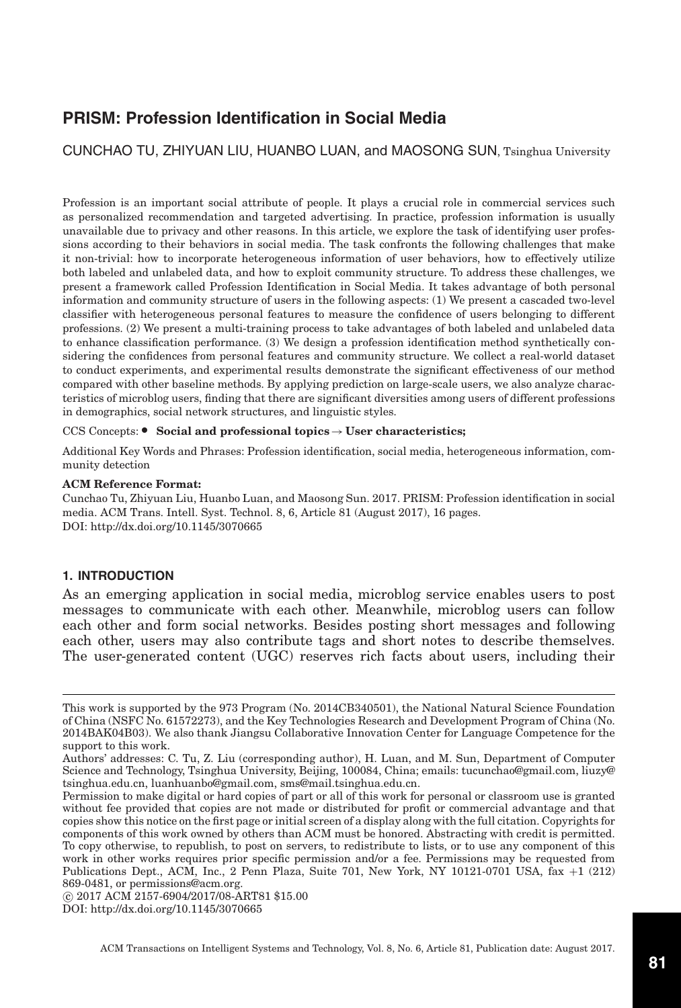# **PRISM: Profession Identification in Social Media**

CUNCHAO TU, ZHIYUAN LIU, HUANBO LUAN, and MAOSONG SUN, Tsinghua University

Profession is an important social attribute of people. It plays a crucial role in commercial services such as personalized recommendation and targeted advertising. In practice, profession information is usually unavailable due to privacy and other reasons. In this article, we explore the task of identifying user professions according to their behaviors in social media. The task confronts the following challenges that make it non-trivial: how to incorporate heterogeneous information of user behaviors, how to effectively utilize both labeled and unlabeled data, and how to exploit community structure. To address these challenges, we present a framework called Profession Identification in Social Media. It takes advantage of both personal information and community structure of users in the following aspects: (1) We present a cascaded two-level classifier with heterogeneous personal features to measure the confidence of users belonging to different professions. (2) We present a multi-training process to take advantages of both labeled and unlabeled data to enhance classification performance. (3) We design a profession identification method synthetically considering the confidences from personal features and community structure. We collect a real-world dataset to conduct experiments, and experimental results demonstrate the significant effectiveness of our method compared with other baseline methods. By applying prediction on large-scale users, we also analyze characteristics of microblog users, finding that there are significant diversities among users of different professions in demographics, social network structures, and linguistic styles.

## CCS Concepts: - **Social and professional topics**→**User characteristics;**

Additional Key Words and Phrases: Profession identification, social media, heterogeneous information, community detection

#### **ACM Reference Format:**

Cunchao Tu, Zhiyuan Liu, Huanbo Luan, and Maosong Sun. 2017. PRISM: Profession identification in social media. ACM Trans. Intell. Syst. Technol. 8, 6, Article 81 (August 2017), 16 pages. DOI:<http://dx.doi.org/10.1145/3070665>

#### **1. INTRODUCTION**

As an emerging application in social media, microblog service enables users to post messages to communicate with each other. Meanwhile, microblog users can follow each other and form social networks. Besides posting short messages and following each other, users may also contribute tags and short notes to describe themselves. The user-generated content (UGC) reserves rich facts about users, including their

-c 2017 ACM 2157-6904/2017/08-ART81 \$15.00

DOI:<http://dx.doi.org/10.1145/3070665>

This work is supported by the 973 Program (No. 2014CB340501), the National Natural Science Foundation of China (NSFC No. 61572273), and the Key Technologies Research and Development Program of China (No. 2014BAK04B03). We also thank Jiangsu Collaborative Innovation Center for Language Competence for the support to this work.

Authors' addresses: C. Tu, Z. Liu (corresponding author), H. Luan, and M. Sun, Department of Computer Science and Technology, Tsinghua University, Beijing, 100084, China; emails: tucunchao@gmail.com, liuzy@ tsinghua.edu.cn, luanhuanbo@gmail.com, sms@mail.tsinghua.edu.cn.

Permission to make digital or hard copies of part or all of this work for personal or classroom use is granted without fee provided that copies are not made or distributed for profit or commercial advantage and that copies show this notice on the first page or initial screen of a display along with the full citation. Copyrights for components of this work owned by others than ACM must be honored. Abstracting with credit is permitted. To copy otherwise, to republish, to post on servers, to redistribute to lists, or to use any component of this work in other works requires prior specific permission and/or a fee. Permissions may be requested from Publications Dept., ACM, Inc., 2 Penn Plaza, Suite 701, New York, NY 10121-0701 USA,  $\hat{f}ax +1$  (212) 869-0481, or permissions@acm.org.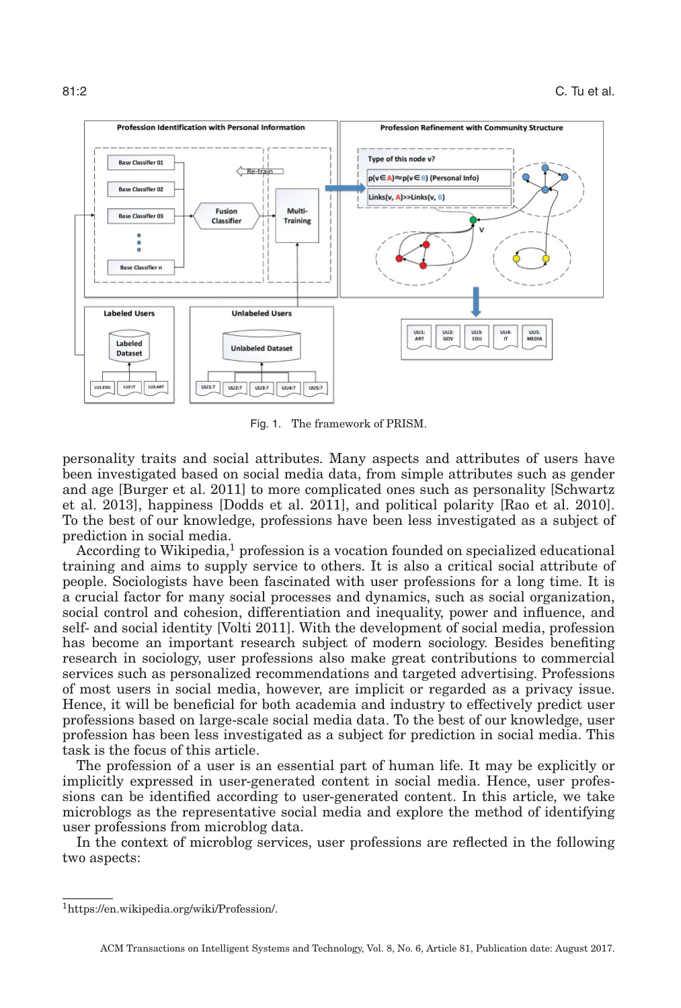

Fig. 1. The framework of PRISM.

personality traits and social attributes. Many aspects and attributes of users have been investigated based on social media data, from simple attributes such as gender and age [Burger et al. [2011\]](#page-14-0) to more complicated ones such as personality [Schwartz et al. [2013\]](#page-15-0), happiness [Dodds et al. [2011\]](#page-14-1), and political polarity [Rao et al. [2010\]](#page-15-1). To the best of our knowledge, professions have been less investigated as a subject of prediction in social media.

According to Wikipedia,<sup>[1](#page-1-0)</sup> profession is a vocation founded on specialized educational training and aims to supply service to others. It is also a critical social attribute of people. Sociologists have been fascinated with user professions for a long time. It is a crucial factor for many social processes and dynamics, such as social organization, social control and cohesion, differentiation and inequality, power and influence, and self- and social identity [Volti [2011\]](#page-15-2). With the development of social media, profession has become an important research subject of modern sociology. Besides benefiting research in sociology, user professions also make great contributions to commercial services such as personalized recommendations and targeted advertising. Professions of most users in social media, however, are implicit or regarded as a privacy issue. Hence, it will be beneficial for both academia and industry to effectively predict user professions based on large-scale social media data. To the best of our knowledge, user profession has been less investigated as a subject for prediction in social media. This task is the focus of this article.

The profession of a user is an essential part of human life. It may be explicitly or implicitly expressed in user-generated content in social media. Hence, user professions can be identified according to user-generated content. In this article, we take microblogs as the representative social media and explore the method of identifying user professions from microblog data.

In the context of microblog services, user professions are reflected in the following two aspects:

<span id="page-1-0"></span>[<sup>1</sup>https://en.wikipedia.org/wiki/Profession/.](https://en.wikipedia.org/wiki/Profession/)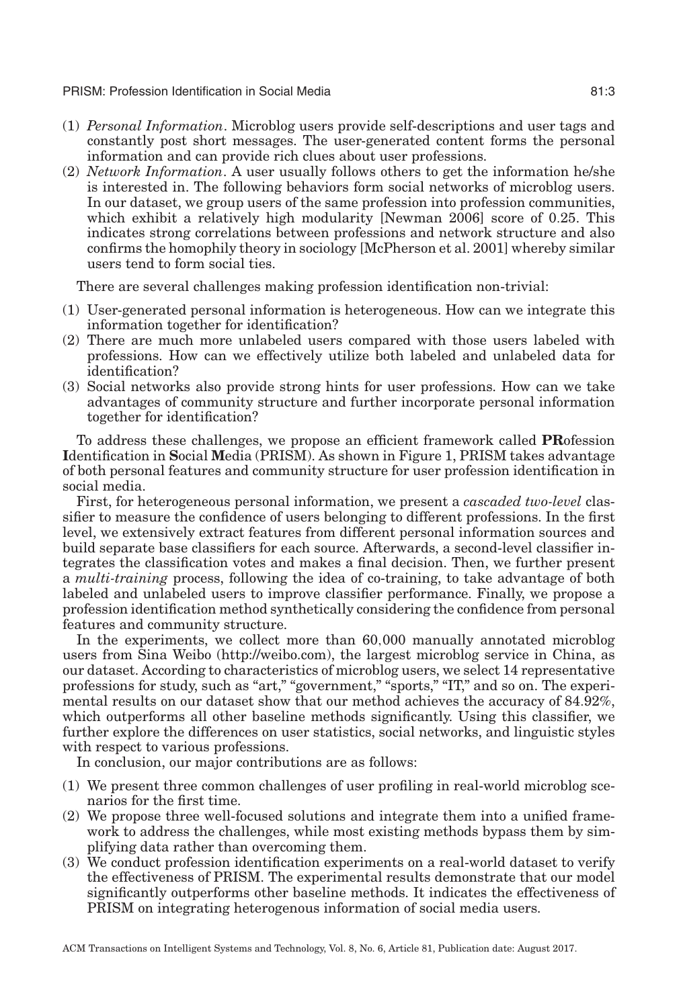PRISM: Profession Identification in Social Media 81:3

- (1) *Personal Information*. Microblog users provide self-descriptions and user tags and constantly post short messages. The user-generated content forms the personal information and can provide rich clues about user professions.
- (2) *Network Information*. A user usually follows others to get the information he/she is interested in. The following behaviors form social networks of microblog users. In our dataset, we group users of the same profession into profession communities, which exhibit a relatively high modularity [Newman [2006\]](#page-15-3) score of 0.25. This indicates strong correlations between professions and network structure and also confirms the homophily theory in sociology [McPherson et al. [2001\]](#page-15-4) whereby similar users tend to form social ties.

There are several challenges making profession identification non-trivial:

- (1) User-generated personal information is heterogeneous. How can we integrate this information together for identification?
- (2) There are much more unlabeled users compared with those users labeled with professions. How can we effectively utilize both labeled and unlabeled data for identification?
- (3) Social networks also provide strong hints for user professions. How can we take advantages of community structure and further incorporate personal information together for identification?

To address these challenges, we propose an efficient framework called **PR**ofession **I**dentification in **S**ocial **M**edia (PRISM). As shown in Figure 1, PRISM takes advantage of both personal features and community structure for user profession identification in social media.

First, for heterogeneous personal information, we present a *cascaded two-level* classifier to measure the confidence of users belonging to different professions. In the first level, we extensively extract features from different personal information sources and build separate base classifiers for each source. Afterwards, a second-level classifier integrates the classification votes and makes a final decision. Then, we further present a *multi-training* process, following the idea of co-training, to take advantage of both labeled and unlabeled users to improve classifier performance. Finally, we propose a profession identification method synthetically considering the confidence from personal features and community structure.

In the experiments, we collect more than 60,000 manually annotated microblog users from Sina Weibo [\(http://weibo.com\)](http://weibo.com), the largest microblog service in China, as our dataset. According to characteristics of microblog users, we select 14 representative professions for study, such as "art," "government," "sports," "IT," and so on. The experimental results on our dataset show that our method achieves the accuracy of 84.92%, which outperforms all other baseline methods significantly. Using this classifier, we further explore the differences on user statistics, social networks, and linguistic styles with respect to various professions.

In conclusion, our major contributions are as follows:

- (1) We present three common challenges of user profiling in real-world microblog scenarios for the first time.
- (2) We propose three well-focused solutions and integrate them into a unified framework to address the challenges, while most existing methods bypass them by simplifying data rather than overcoming them.
- (3) We conduct profession identification experiments on a real-world dataset to verify the effectiveness of PRISM. The experimental results demonstrate that our model significantly outperforms other baseline methods. It indicates the effectiveness of PRISM on integrating heterogenous information of social media users.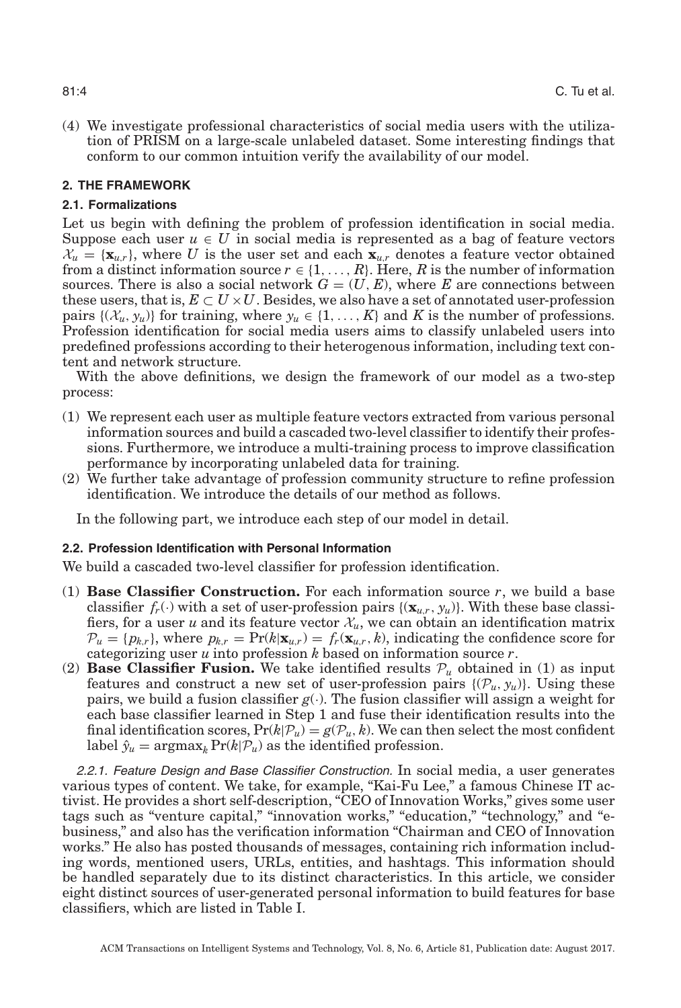(4) We investigate professional characteristics of social media users with the utilization of PRISM on a large-scale unlabeled dataset. Some interesting findings that conform to our common intuition verify the availability of our model.

## **2. THE FRAMEWORK**

## **2.1. Formalizations**

Let us begin with defining the problem of profession identification in social media. Suppose each user  $u \in U$  in social media is represented as a bag of feature vectors  $\mathcal{X}_u = {\mathbf{x}_{u,r}}$ , where U is the user set and each  ${\mathbf{x}_{u,r}}$  denotes a feature vector obtained from a distinct information source  $r \in \{1, \ldots, R\}$ . Here, *R* is the number of information sources. There is also a social network  $G = (U, E)$ , where *E* are connections between these users, that is,  $E \subset U \times U$ . Besides, we also have a set of annotated user-profession pairs  $\{(\mathcal{X}_u, y_u)\}\$  for training, where  $y_u \in \{1, \ldots, K\}$  and *K* is the number of professions. Profession identification for social media users aims to classify unlabeled users into predefined professions according to their heterogenous information, including text content and network structure.

With the above definitions, we design the framework of our model as a two-step process:

- (1) We represent each user as multiple feature vectors extracted from various personal information sources and build a cascaded two-level classifier to identify their professions. Furthermore, we introduce a multi-training process to improve classification performance by incorporating unlabeled data for training.
- (2) We further take advantage of profession community structure to refine profession identification. We introduce the details of our method as follows.

In the following part, we introduce each step of our model in detail.

## **2.2. Profession Identification with Personal Information**

We build a cascaded two-level classifier for profession identification.

- (1) **Base Classifier Construction.** For each information source  $r$ , we build a base classifier  $f_r(\cdot)$  with a set of user-profession pairs  $\{(\mathbf{x}_{u,r}, y_u)\}$ . With these base classifiers, for a user *u* and its feature vector  $\mathcal{X}_u$ , we can obtain an identification matrix  $\mathcal{P}_u = \{p_{k,r}\}\$ , where  $p_{k,r} = \Pr(k|\mathbf{x}_{u,r}) = f_r(\mathbf{x}_{u,r}, k)$ , indicating the confidence score for categorizing user *u* into profession *k* based on information source *r*.
- (2) **Base Classifier Fusion.** We take identified results  $\mathcal{P}_u$  obtained in (1) as input features and construct a new set of user-profession pairs  $\{(\mathcal{P}_u, y_u)\}\)$ . Using these pairs, we build a fusion classifier  $g(.)$ . The fusion classifier will assign a weight for each base classifier learned in Step 1 and fuse their identification results into the final identification scores,  $Pr(k|\mathcal{P}_u) = g(\mathcal{P}_u, k)$ . We can then select the most confident label  $\hat{y}_u = \argmax_k \Pr(k|\mathcal{P}_u)$  as the identified profession.

*2.2.1. Feature Design and Base Classifier Construction.* In social media, a user generates various types of content. We take, for example, "Kai-Fu Lee," a famous Chinese IT activist. He provides a short self-description, "CEO of Innovation Works," gives some user tags such as "venture capital," "innovation works," "education," "technology," and "ebusiness," and also has the verification information "Chairman and CEO of Innovation works." He also has posted thousands of messages, containing rich information including words, mentioned users, URLs, entities, and hashtags. This information should be handled separately due to its distinct characteristics. In this article, we consider eight distinct sources of user-generated personal information to build features for base classifiers, which are listed in Table [I.](#page-4-0)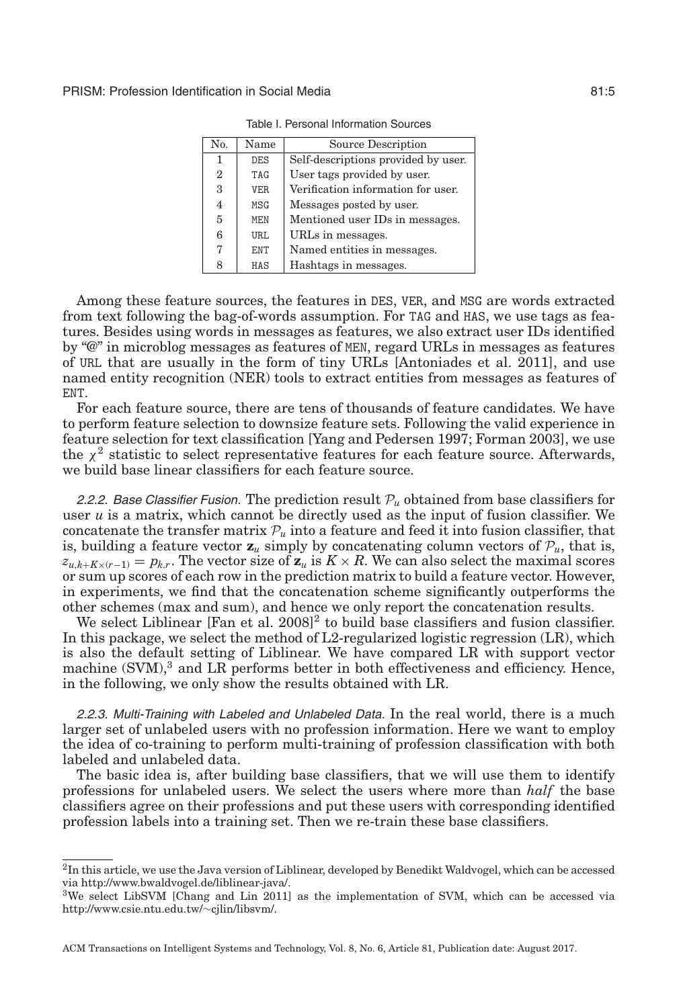<span id="page-4-0"></span>

| No.            | Name | Source Description                  |
|----------------|------|-------------------------------------|
| 1              | DES  | Self-descriptions provided by user. |
| $\overline{2}$ | TAG  | User tags provided by user.         |
| 3              | VER  | Verification information for user.  |
| $\overline{4}$ | MSG  | Messages posted by user.            |
| 5              | MEN  | Mentioned user IDs in messages.     |
| 6              | URL. | URLs in messages.                   |
| 7              | ENT  | Named entities in messages.         |
| 8              | HAS  | Hashtags in messages.               |

Table I. Personal Information Sources

Among these feature sources, the features in DES, VER, and MSG are words extracted from text following the bag-of-words assumption. For TAG and HAS, we use tags as features. Besides using words in messages as features, we also extract user IDs identified by "@" in microblog messages as features of MEN, regard URLs in messages as features of URL that are usually in the form of tiny URLs [Antoniades et al. [2011\]](#page-14-2), and use named entity recognition (NER) tools to extract entities from messages as features of ENT.

For each feature source, there are tens of thousands of feature candidates. We have to perform feature selection to downsize feature sets. Following the valid experience in feature selection for text classification [Yang and Pedersen [1997;](#page-15-5) Forman [2003\]](#page-14-3), we use the  $\chi^2$  statistic to select representative features for each feature source. Afterwards, we build base linear classifiers for each feature source.

2.2.2. Base Classifier Fusion. The prediction result  $\mathcal{P}_{\mu}$  obtained from base classifiers for user *u* is a matrix, which cannot be directly used as the input of fusion classifier. We concatenate the transfer matrix  $\mathcal{P}_u$  into a feature and feed it into fusion classifier, that is, building a feature vector  $\mathbf{z}_u$  simply by concatenating column vectors of  $\mathcal{P}_u$ , that is,  $z_{u,k+K\times(r-1)} = p_{k,r}$ . The vector size of  $z_u$  is  $K \times R$ . We can also select the maximal scores or sum up scores of each row in the prediction matrix to build a feature vector. However, in experiments, we find that the concatenation scheme significantly outperforms the other schemes (max and sum), and hence we only report the concatenation results.

We select Liblinear [Fan et al.  $2008$  $2008$ ]<sup>2</sup> to build base classifiers and fusion classifier. In this package, we select the method of L2-regularized logistic regression (LR), which is also the default setting of Liblinear. We have compared LR with support vector machine  $(SVM)$ <sup>[3](#page-4-2)</sup> and LR performs better in both effectiveness and efficiency. Hence, in the following, we only show the results obtained with LR.

*2.2.3. Multi-Training with Labeled and Unlabeled Data.* In the real world, there is a much larger set of unlabeled users with no profession information. Here we want to employ the idea of co-training to perform multi-training of profession classification with both labeled and unlabeled data.

The basic idea is, after building base classifiers, that we will use them to identify professions for unlabeled users. We select the users where more than *half* the base classifiers agree on their professions and put these users with corresponding identified profession labels into a training set. Then we re-train these base classifiers.

<span id="page-4-1"></span><sup>&</sup>lt;sup>2</sup>In this article, we use the Java version of Liblinear, developed by Benedikt Waldvogel, which can be accessed via [http://www.bwaldvogel.de/liblinear-java/.](http://www.bwaldvogel.de/liblinear-java/)

<span id="page-4-2"></span><sup>3</sup>We select LibSVM [Chang and Lin 2011] as the implementation of SVM, which can be accessed via [http://www.csie.ntu.edu.tw/](http://www.csie.ntu.edu.tw/protect $
elax sim $cjlin/libsvm/)∼cjlin/libsvm/.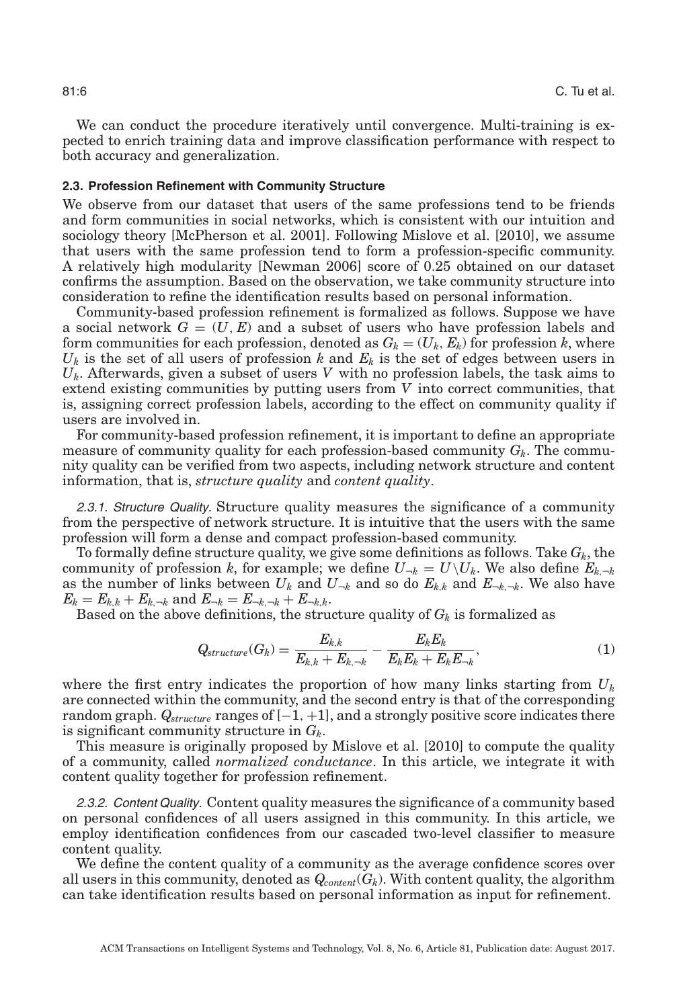We can conduct the procedure iteratively until convergence. Multi-training is expected to enrich training data and improve classification performance with respect to both accuracy and generalization.

#### **2.3. Profession Refinement with Community Structure**

We observe from our dataset that users of the same professions tend to be friends and form communities in social networks, which is consistent with our intuition and sociology theory [McPherson et al. [2001\]](#page-15-4). Following Mislove et al. [\[2010\]](#page-15-6), we assume that users with the same profession tend to form a profession-specific community. A relatively high modularity [Newman [2006\]](#page-15-3) score of 0.25 obtained on our dataset confirms the assumption. Based on the observation, we take community structure into consideration to refine the identification results based on personal information.

Community-based profession refinement is formalized as follows. Suppose we have a social network  $G = (U, E)$  and a subset of users who have profession labels and form communities for each profession, denoted as  $G_k = (U_k, E_k)$  for profession *k*, where  $U_k$  is the set of all users of profession k and  $E_k$  is the set of edges between users in *Uk*. Afterwards, given a subset of users *V* with no profession labels, the task aims to extend existing communities by putting users from *V* into correct communities, that is, assigning correct profession labels, according to the effect on community quality if users are involved in.

For community-based profession refinement, it is important to define an appropriate measure of community quality for each profession-based community  $G_k$ . The community quality can be verified from two aspects, including network structure and content information, that is, *structure quality* and *content quality*.

*2.3.1. Structure Quality.* Structure quality measures the significance of a community from the perspective of network structure. It is intuitive that the users with the same profession will form a dense and compact profession-based community.

To formally define structure quality, we give some definitions as follows. Take  $G_k$ , the community of profession *k*, for example; we define  $U_{-k} = U \setminus U_k$ . We also define  $E_{k,-k}$ as the number of links between  $U_k$  and  $U_{\neg k}$  and so do  $E_{k,k}$  and  $E_{\neg k,\neg k}$ . We also have  $E_k = E_{k,k} + E_{k, \neg k}$  and  $E_{\neg k} = E_{\neg k, \neg k} + E_{\neg k, k}$ .

Based on the above definitions, the structure quality of  $G_k$  is formalized as

$$
Q_{structure}(G_k) = \frac{E_{k,k}}{E_{k,k} + E_{k,-k}} - \frac{E_k E_k}{E_k E_k + E_k E_{-k}},
$$
\n(1)

where the first entry indicates the proportion of how many links starting from *Uk* are connected within the community, and the second entry is that of the corresponding random graph. *Qstructure* ranges of [−1, +1], and a strongly positive score indicates there is significant community structure in *Gk*.

This measure is originally proposed by Mislove et al. [\[2010\]](#page-15-6) to compute the quality of a community, called *normalized conductance*. In this article, we integrate it with content quality together for profession refinement.

*2.3.2. Content Quality.* Content quality measures the significance of a community based on personal confidences of all users assigned in this community. In this article, we employ identification confidences from our cascaded two-level classifier to measure content quality.

We define the content quality of a community as the average confidence scores over all users in this community, denoted as  $Q_{content}(G_k)$ . With content quality, the algorithm can take identification results based on personal information as input for refinement.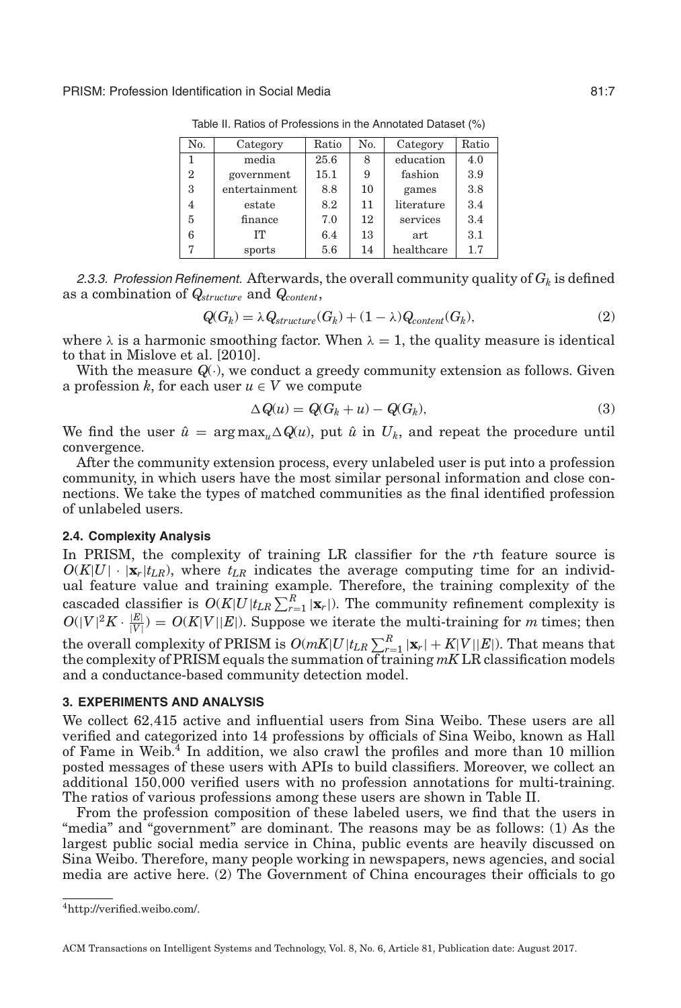<span id="page-6-1"></span>PRISM: Profession Identification in Social Media 81:7

| No.            | Category      | Ratio | No. | Category   | Ratio |
|----------------|---------------|-------|-----|------------|-------|
| 1              | media         | 25.6  | 8   | education  | 4.0   |
| $\overline{2}$ | government    | 15.1  | 9   | fashion    | 3.9   |
| 3              | entertainment | 8.8   | 10  | games      | 3.8   |
| 4              | estate        | 8.2   | 11  | literature | 3.4   |
| 5              | finance       | 7.0   | 12  | services   | 3.4   |
| 6              | TТ            | 6.4   | 13  | art        | 3.1   |
| ,              | sports        | 5.6   | 14  | healthcare | 1.7   |

Table II. Ratios of Professions in the Annotated Dataset (%)

2.3.3. Profession Refinement. Afterwards, the overall community quality of  $G_k$  is defined as a combination of *Qstructure* and *Qcontent*,

<span id="page-6-2"></span>
$$
Q(G_k) = \lambda Q_{structure}(G_k) + (1 - \lambda)Q_{content}(G_k),
$$
\n(2)

where  $\lambda$  is a harmonic smoothing factor. When  $\lambda = 1$ , the quality measure is identical to that in Mislove et al. [\[2010\]](#page-15-6).

With the measure  $Q(.)$ , we conduct a greedy community extension as follows. Given a profession *k*, for each user  $u \in V$  we compute

$$
\Delta Q(u) = Q(G_k + u) - Q(G_k),\tag{3}
$$

We find the user  $\hat{u} = \arg \max_{\mu} \Delta Q(u)$ , put  $\hat{u}$  in  $U_k$ , and repeat the procedure until convergence.

After the community extension process, every unlabeled user is put into a profession community, in which users have the most similar personal information and close connections. We take the types of matched communities as the final identified profession of unlabeled users.

#### **2.4. Complexity Analysis**

In PRISM, the complexity of training LR classifier for the *r*th feature source is  $O(K|U| \cdot |\mathbf{x}_r| t_{LR})$ , where  $t_{LR}$  indicates the average computing time for an individual feature value and training example. Therefore, the training complexity of the cascaded classifier is  $O(K|U|t_{LR}\sum_{r=1}^{R}|\mathbf{x}_r|)$ . The community refinement complexity is  $O(|V|^2 K \cdot \frac{|E|}{|V|}) = O(K|V||E|)$ . Suppose we iterate the multi-training for *m* times; then the overall complexity of PRISM is  $O(mK|U|t_{LR}\sum_{r=1}^{R}|\mathbf{x}_r|+K|V||E|$ ). That means that the complexity of PRISM equals the summation of training *mK* LR classification models and a conductance-based community detection model.

#### **3. EXPERIMENTS AND ANALYSIS**

We collect 62,415 active and influential users from Sina Weibo. These users are all verified and categorized into 14 professions by officials of Sina Weibo, known as Hall of Fame in Weib.[4](#page-6-0) In addition, we also crawl the profiles and more than 10 million posted messages of these users with APIs to build classifiers. Moreover, we collect an additional 150,000 verified users with no profession annotations for multi-training. The ratios of various professions among these users are shown in Table [II.](#page-6-1)

From the profession composition of these labeled users, we find that the users in "media" and "government" are dominant. The reasons may be as follows: (1) As the largest public social media service in China, public events are heavily discussed on Sina Weibo. Therefore, many people working in newspapers, news agencies, and social media are active here. (2) The Government of China encourages their officials to go

<span id="page-6-0"></span>[<sup>4</sup>http://verified.weibo.com/.](http://verified.weibo.com/)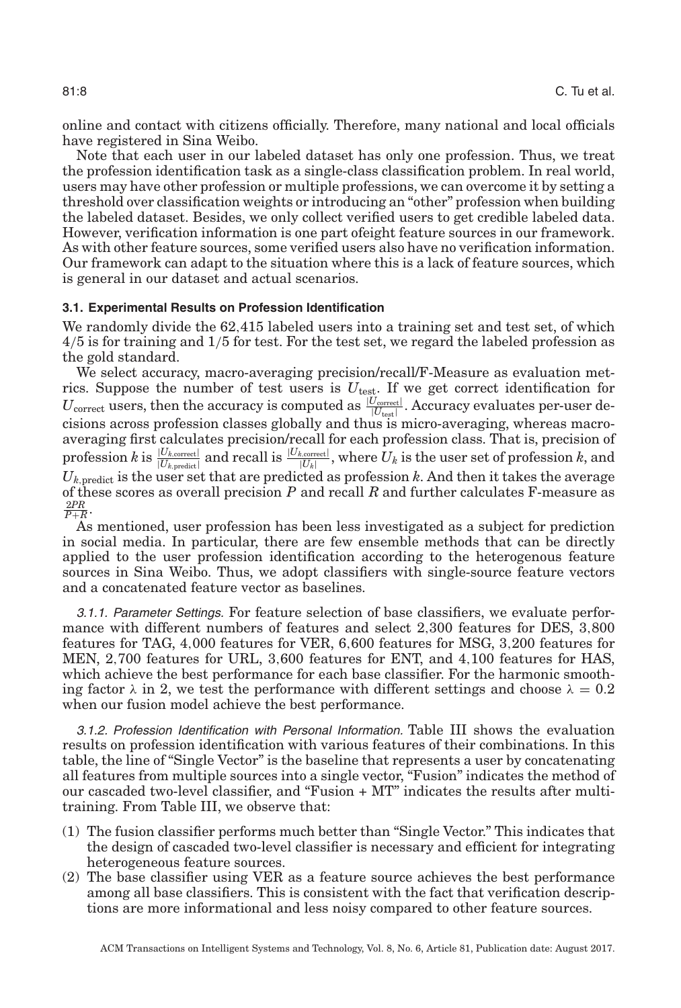online and contact with citizens officially. Therefore, many national and local officials have registered in Sina Weibo.

Note that each user in our labeled dataset has only one profession. Thus, we treat the profession identification task as a single-class classification problem. In real world, users may have other profession or multiple professions, we can overcome it by setting a threshold over classification weights or introducing an "other" profession when building the labeled dataset. Besides, we only collect verified users to get credible labeled data. However, verification information is one part ofeight feature sources in our framework. As with other feature sources, some verified users also have no verification information. Our framework can adapt to the situation where this is a lack of feature sources, which is general in our dataset and actual scenarios.

#### **3.1. Experimental Results on Profession Identification**

We randomly divide the 62,415 labeled users into a training set and test set, of which 4/5 is for training and 1/5 for test. For the test set, we regard the labeled profession as the gold standard.

We select accuracy, macro-averaging precision/recall/F-Measure as evaluation metrics. Suppose the number of test users is  $U_{\text{test}}$ . If we get correct identification for  $U_{\text{correct}}$  users, then the accuracy is computed as  $\frac{|U_{\text{correct}}|}{|U_{\text{test}}|}$ . Accuracy evaluates per-user decisions across profession classes globally and thus is micro-averaging, whereas macroaveraging first calculates precision/recall for each profession class. That is, precision of  $\text{profession } k \text{ is } \frac{|U_{k,\text{correct}}|}{|U_{k,\text{predicted}}|}$  and recall is  $\frac{|U_{k,\text{correct}}|}{|U_{k}|}$ , where  $U_{k}$  is the user set of profession  $k$ , and  $U_{k,\mathrm{predict}}$  is the user set that are predicted as profession  $k$ . And then it takes the average of these scores as overall precision *P* and recall *R* and further calculates F-measure as  $\frac{2PR}{P+R}$ .

As mentioned, user profession has been less investigated as a subject for prediction in social media. In particular, there are few ensemble methods that can be directly applied to the user profession identification according to the heterogenous feature sources in Sina Weibo. Thus, we adopt classifiers with single-source feature vectors and a concatenated feature vector as baselines.

*3.1.1. Parameter Settings.* For feature selection of base classifiers, we evaluate performance with different numbers of features and select 2,300 features for DES, 3,800 features for TAG, 4,000 features for VER, 6,600 features for MSG, 3,200 features for MEN, 2,700 features for URL, 3,600 features for ENT, and 4,100 features for HAS, which achieve the best performance for each base classifier. For the harmonic smoothing factor  $\lambda$  in [2,](#page-6-2) we test the performance with different settings and choose  $\lambda = 0.2$ when our fusion model achieve the best performance.

*3.1.2. Profession Identification with Personal Information.* Table [III](#page-8-0) shows the evaluation results on profession identification with various features of their combinations. In this table, the line of "Single Vector" is the baseline that represents a user by concatenating all features from multiple sources into a single vector, "Fusion" indicates the method of our cascaded two-level classifier, and "Fusion + MT" indicates the results after multitraining. From Table [III,](#page-8-0) we observe that:

- (1) The fusion classifier performs much better than "Single Vector." This indicates that the design of cascaded two-level classifier is necessary and efficient for integrating heterogeneous feature sources.
- (2) The base classifier using VER as a feature source achieves the best performance among all base classifiers. This is consistent with the fact that verification descriptions are more informational and less noisy compared to other feature sources.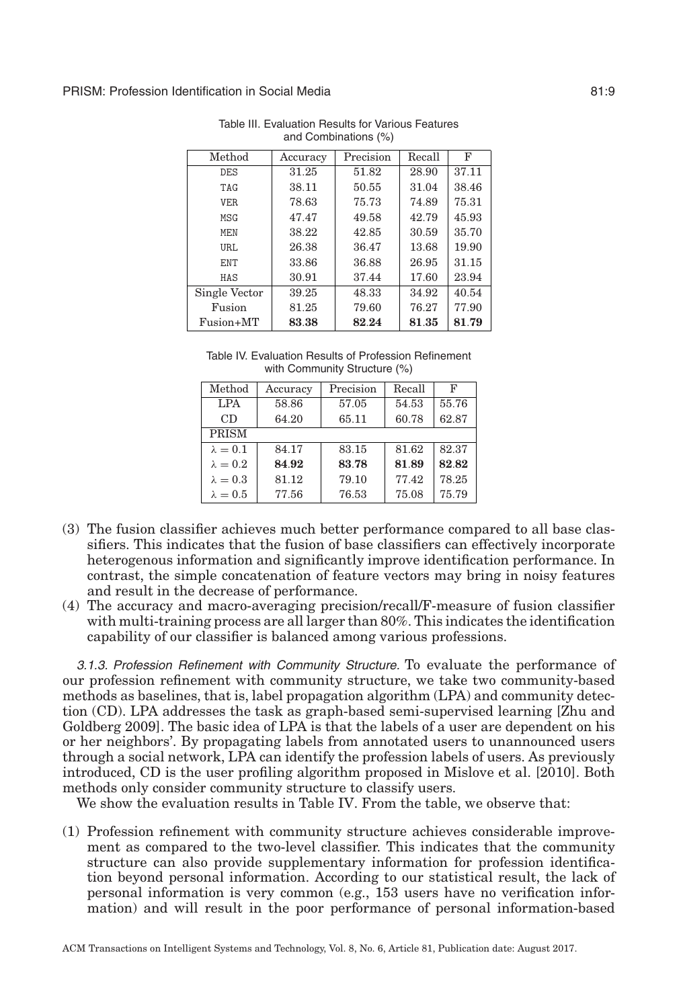<span id="page-8-0"></span>

| Method        | Accuracy | Precision | Recall | F     |
|---------------|----------|-----------|--------|-------|
| <b>DES</b>    | 31.25    | 51.82     | 28.90  | 37.11 |
| TAG           | 38.11    | 50.55     | 31.04  | 38.46 |
| VER.          | 78.63    | 75.73     | 74.89  | 75.31 |
| MSG           | 47.47    | 49.58     | 42.79  | 45.93 |
| <b>MEN</b>    | 38.22    | 42.85     | 30.59  | 35.70 |
| URL.          | 26.38    | 36.47     | 13.68  | 19.90 |
| ENT           | 33.86    | 36.88     | 26.95  | 31.15 |
| HAS           | 30.91    | 37.44     | 17.60  | 23.94 |
| Single Vector | 39.25    | 48.33     | 34.92  | 40.54 |
| Fusion        | 81.25    | 79.60     | 76.27  | 77.90 |
| Fusion+MT     | 83.38    | 82.24     | 81.35  | 81.79 |

Table III. Evaluation Results for Various Features and Combinations (%)

| Table IV. Evaluation Results of Profession Refinement |  |
|-------------------------------------------------------|--|
| with Community Structure (%)                          |  |

<span id="page-8-1"></span>

| Method          | Accuracy | Precision | Recall | F     |
|-----------------|----------|-----------|--------|-------|
| <b>LPA</b>      | 58.86    | 57.05     | 54.53  | 55.76 |
| CD              | 64.20    | 65.11     | 60.78  | 62.87 |
| <b>PRISM</b>    |          |           |        |       |
| $\lambda = 0.1$ | 84.17    | 83.15     | 81.62  | 82.37 |
| $\lambda = 0.2$ | 84.92    | 83.78     | 81.89  | 82.82 |
| $\lambda = 0.3$ | 81.12    | 79.10     | 77.42  | 78.25 |
| $\lambda = 0.5$ | 77.56    | 76.53     | 75.08  | 75.79 |

- (3) The fusion classifier achieves much better performance compared to all base classifiers. This indicates that the fusion of base classifiers can effectively incorporate heterogenous information and significantly improve identification performance. In contrast, the simple concatenation of feature vectors may bring in noisy features and result in the decrease of performance.
- (4) The accuracy and macro-averaging precision/recall/F-measure of fusion classifier with multi-training process are all larger than 80%. This indicates the identification capability of our classifier is balanced among various professions.

*3.1.3. Profession Refinement with Community Structure.* To evaluate the performance of our profession refinement with community structure, we take two community-based methods as baselines, that is, label propagation algorithm (LPA) and community detection (CD). LPA addresses the task as graph-based semi-supervised learning [Zhu and Goldberg [2009\]](#page-15-7). The basic idea of LPA is that the labels of a user are dependent on his or her neighbors'. By propagating labels from annotated users to unannounced users through a social network, LPA can identify the profession labels of users. As previously introduced, CD is the user profiling algorithm proposed in Mislove et al. [\[2010\]](#page-15-6). Both methods only consider community structure to classify users.

We show the evaluation results in Table [IV.](#page-8-1) From the table, we observe that:

(1) Profession refinement with community structure achieves considerable improvement as compared to the two-level classifier. This indicates that the community structure can also provide supplementary information for profession identification beyond personal information. According to our statistical result, the lack of personal information is very common (e.g., 153 users have no verification information) and will result in the poor performance of personal information-based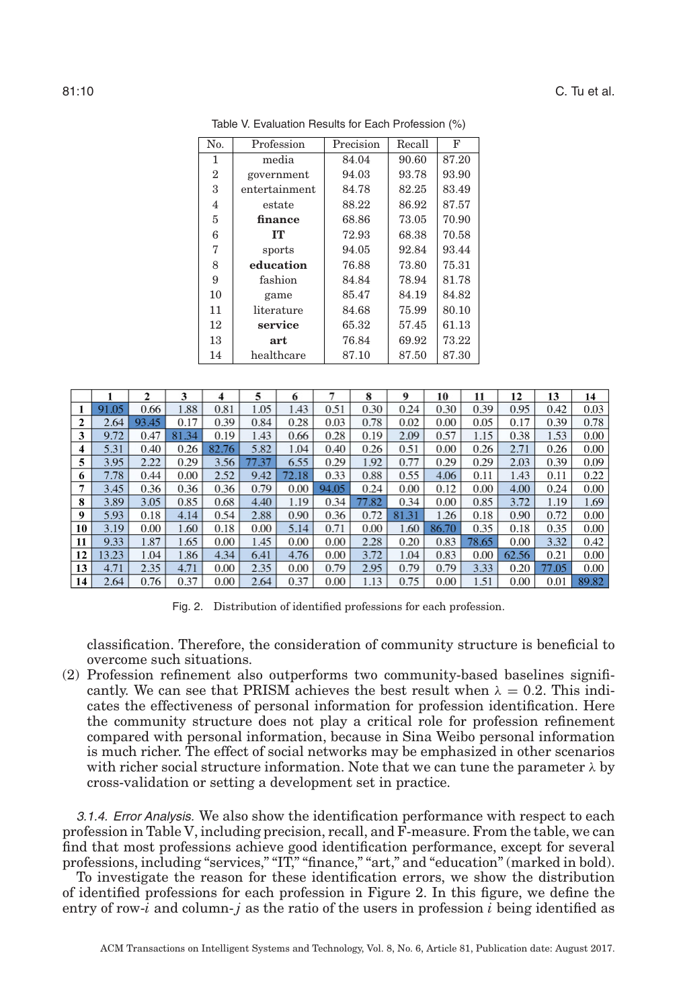<span id="page-9-0"></span>

| N <sub>0</sub> | Profession    | Precision | Recall | F     |
|----------------|---------------|-----------|--------|-------|
| 1              | media         | 84.04     | 90.60  | 87.20 |
| $\overline{2}$ | government    | 94.03     | 93.78  | 93.90 |
| 3              | entertainment | 84.78     | 82.25  | 83.49 |
| 4              | estate        | 88.22     | 86.92  | 87.57 |
| 5              | finance       | 68.86     | 73.05  | 70.90 |
| 6              | TТ            | 72.93     | 68.38  | 70.58 |
| 7              | sports        | 94.05     | 92.84  | 93.44 |
| 8              | education     | 76.88     | 73.80  | 75.31 |
| 9              | fashion       | 84.84     | 78.94  | 81.78 |
| 10             | game          | 85.47     | 84.19  | 84.82 |
| 11             | literature    | 84.68     | 75.99  | 80.10 |
| 12             | service       | 65.32     | 57.45  | 61.13 |
| 13             | art           | 76.84     | 69.92  | 73.22 |
| 14             | healthcare    | 87.10     | 87.50  | 87.30 |

Table V. Evaluation Results for Each Profession (%)

<span id="page-9-1"></span>

|    |       | $\mathbf{r}$ | 3     | 4     | 5     | 0     |       | 8     | 9     | 10    | 11    | 12    | 13    | 14    |
|----|-------|--------------|-------|-------|-------|-------|-------|-------|-------|-------|-------|-------|-------|-------|
|    | 91.05 | 0.66         | 1.88  | 0.81  | 1.05  | .43   | 0.51  | 0.30  | 0.24  | 0.30  | 0.39  | 0.95  | 0.42  | 0.03  |
| 2  | 2.64  | 93.45        | 0.17  | 0.39  | 0.84  | 0.28  | 0.03  | 0.78  | 0.02  | 0.00  | 0.05  | 0.17  | 0.39  | 0.78  |
| 3  | 9.72  | 0.47         | 81.34 | 0.19  | 1.43  | 0.66  | 0.28  | 0.19  | 2.09  | 0.57  | 1.15  | 0.38  | 1.53  | 0.00  |
|    | 5.31  | 0.40         | 0.26  | 82.76 | 5.82  | .04   | 0.40  | 0.26  | 0.51  | 0.00  | 0.26  | 2.71  | 0.26  | 0.00  |
| 5  | 3.95  | 2.22         | 0.29  | 3.56  | 77.37 | 6.55  | 0.29  | 1.92  | 0.77  | 0.29  | 0.29  | 2.03  | 0.39  | 0.09  |
| 6  | 7.78  | 0.44         | 0.00  | 2.52  | 9.42  | 72.18 | 0.33  | 0.88  | 0.55  | 4.06  | 0.11  | 1.43  | 0.11  | 0.22  |
|    | 3.45  | 0.36         | 0.36  | 0.36  | 0.79  | 0.00  | 94.05 | 0.24  | 0.00  | 0.12  | 0.00  | 4.00  | 0.24  | 0.00  |
| 8  | 3.89  | 3.05         | 0.85  | 0.68  | 4.40  | 1.19  | 0.34  | 77.82 | 0.34  | 0.00  | 0.85  | 3.72  | 1.19  | 1.69  |
| 9  | 5.93  | 0.18         | 4.14  | 0.54  | 2.88  | 0.90  | 0.36  | 0.72  | 81.31 | 1.26  | 0.18  | 0.90  | 0.72  | 0.00  |
| 10 | 3.19  | 0.00         | 1.60  | 0.18  | 0.00  | 5.14  | 0.71  | 0.00  | 1.60  | 86.70 | 0.35  | 0.18  | 0.35  | 0.00  |
| 11 | 9.33  | 1.87         | 1.65  | 0.00  | 1.45  | 0.00  | 0.00  | 2.28  | 0.20  | 0.83  | 78.65 | 0.00  | 3.32  | 0.42  |
| 12 | 13.23 | 1.04         | 1.86  | 4.34  | 6.41  | 4.76  | 0.00  | 3.72  | 1.04  | 0.83  | 0.00  | 62.56 | 0.21  | 0.00  |
| 13 | 4.71  | 2.35         | 4.71  | 0.00  | 2.35  | 0.00  | 0.79  | 2.95  | 0.79  | 0.79  | 3.33  | 0.20  | 77.05 | 0.00  |
| 14 | 2.64  | 0.76         | 0.37  | 0.00  | 2.64  | 0.37  | 0.00  | 1.13  | 0.75  | 0.00  | 1.51  | 0.00  | 0.01  | 89.82 |

Fig. 2. Distribution of identified professions for each profession.

classification. Therefore, the consideration of community structure is beneficial to overcome such situations.

(2) Profession refinement also outperforms two community-based baselines significantly. We can see that PRISM achieves the best result when  $\lambda = 0.2$ . This indicates the effectiveness of personal information for profession identification. Here the community structure does not play a critical role for profession refinement compared with personal information, because in Sina Weibo personal information is much richer. The effect of social networks may be emphasized in other scenarios with richer social structure information. Note that we can tune the parameter  $\lambda$  by cross-validation or setting a development set in practice.

*3.1.4. Error Analysis.* We also show the identification performance with respect to each profession in Table [V,](#page-9-0) including precision, recall, and F-measure. From the table, we can find that most professions achieve good identification performance, except for several professions, including "services," "IT," "finance," "art," and "education" (marked in bold).

To investigate the reason for these identification errors, we show the distribution of identified professions for each profession in Figure [2.](#page-9-1) In this figure, we define the entry of row-*i* and column-*j* as the ratio of the users in profession *i* being identified as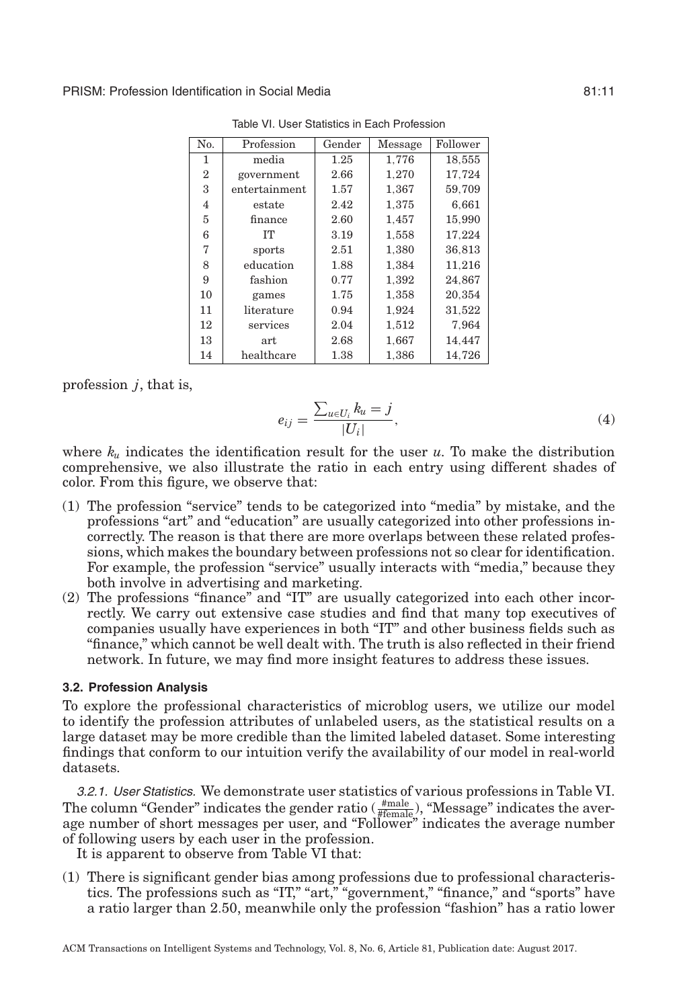<span id="page-10-0"></span>

| No.            | Profession    | Gender | Message | Follower |
|----------------|---------------|--------|---------|----------|
| 1              | media         | 1.25   | 1,776   | 18,555   |
| $\overline{2}$ | government    | 2.66   | 1.270   | 17,724   |
| 3              | entertainment | 1.57   | 1,367   | 59,709   |
| 4              | estate        | 2.42   | 1,375   | 6,661    |
| 5              | finance       | 2.60   | 1,457   | 15,990   |
| 6              | <b>IT</b>     | 3.19   | 1,558   | 17.224   |
| 7              | sports        | 2.51   | 1,380   | 36.813   |
| 8              | education     | 1.88   | 1,384   | 11,216   |
| 9              | fashion       | 0.77   | 1,392   | 24,867   |
| 10             | games         | 1.75   | 1,358   | 20,354   |
| 11             | literature    | 0.94   | 1,924   | 31,522   |
| 12             | services      | 2.04   | 1,512   | 7.964    |
| 13             | art           | 2.68   | 1,667   | 14,447   |
| 14             | healthcare    | 1.38   | 1.386   | 14.726   |

Table VI. User Statistics in Each Profession

profession *j*, that is,

$$
e_{ij} = \frac{\sum_{u \in U_i} k_u = j}{|U_i|},\tag{4}
$$

where  $k_u$  indicates the identification result for the user  $u$ . To make the distribution comprehensive, we also illustrate the ratio in each entry using different shades of color. From this figure, we observe that:

- (1) The profession "service" tends to be categorized into "media" by mistake, and the professions "art" and "education" are usually categorized into other professions incorrectly. The reason is that there are more overlaps between these related professions, which makes the boundary between professions not so clear for identification. For example, the profession "service" usually interacts with "media," because they both involve in advertising and marketing.
- (2) The professions "finance" and "IT" are usually categorized into each other incorrectly. We carry out extensive case studies and find that many top executives of companies usually have experiences in both "IT" and other business fields such as "finance," which cannot be well dealt with. The truth is also reflected in their friend network. In future, we may find more insight features to address these issues.

#### **3.2. Profession Analysis**

To explore the professional characteristics of microblog users, we utilize our model to identify the profession attributes of unlabeled users, as the statistical results on a large dataset may be more credible than the limited labeled dataset. Some interesting findings that conform to our intuition verify the availability of our model in real-world datasets.

*3.2.1. User Statistics.* We demonstrate user statistics of various professions in Table [VI.](#page-10-0) The column "Gender" indicates the gender ratio  $(\frac{\text{#male}}{\text{#female}})$ , "Message" indicates the average number of short messages per user, and "Follower" indicates the average number of following users by each user in the profession.

It is apparent to observe from Table [VI](#page-10-0) that:

(1) There is significant gender bias among professions due to professional characteristics. The professions such as "IT," "art," "government," "finance," and "sports" have a ratio larger than 2.50, meanwhile only the profession "fashion" has a ratio lower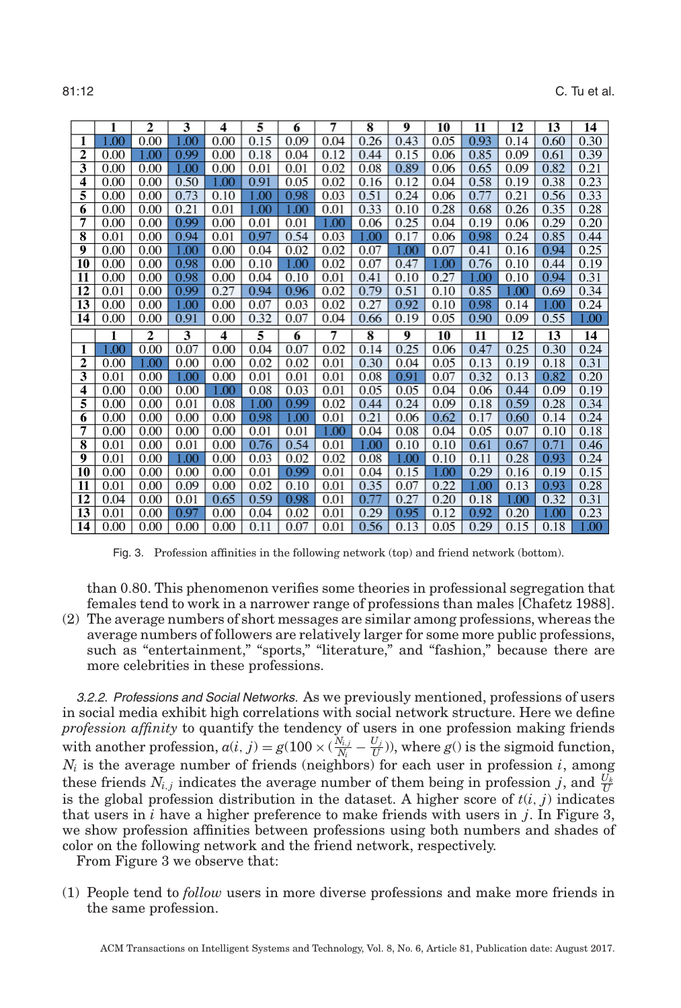81:12 C. Tu et al.

<span id="page-11-0"></span>

|          |              | $\overline{2}$ | $\overline{\mathbf{3}}$ | 4            | 5            | 6            | $\overline{7}$ | $\overline{\mathbf{8}}$ | 9            | 10           | 11           | 12           | 13          | 14           |
|----------|--------------|----------------|-------------------------|--------------|--------------|--------------|----------------|-------------------------|--------------|--------------|--------------|--------------|-------------|--------------|
| 1        | .00          | 0.00           | .00                     | 0.00         | 0.15         | 0.09         | 0.04           | 0.26                    | 0.43         | 0.05         | 0.93         | 0.14         | 0.60        | 0.30         |
| 2        | 0.00         | 1.00           | 0.99                    | 0.00         | 0.18         | 0.04         | 0.12           | 0.44                    | 0.15         | 0.06         | 0.85         | 0.09         | 0.61        | 0.39         |
| 3        | 0.00         | 0.00           | 1.00                    | 0.00         | 0.01         | 0.01         | 0.02           | 0.08                    | 0.89         | 0.06         | 0.65         | 0.09         | 0.82        | 0.21         |
| 4        | 0.00         | 0.00           | 0.50                    | 1.00         | 0.91         | 0.05         | 0.02           | 0.16                    | 0.12         | 0.04         | 0.58         | 0.19         | 0.38        | 0.23         |
| 5        | 0.00         | 0.00           | 0.73                    | 0.10         | 0.00         | 0.98         | 0.03           | 0.51                    | 0.24         | 0.06         | 0.77         | 0.21         | 0.56        | 0.33         |
| 6        | 0.00         | 0.00           | 0.21                    | 0.01         | 1.00         | 1.00         | 0.01           | 0.33                    | 0.10         | 0.28         | 0.68         | 0.26         | 0.35        | 0.28         |
| 7        | 0.00         | 0.00           | 0.99                    | 0.00         | 0.01         | 0.01         | 1.00           | 0.06                    | 0.25         | 0.04         | 0.19         | 0.06         | 0.29        | 0.20         |
| 8        | 0.01         | 0.00           | 0.94                    | 0.01         | 0.97         | 0.54         | 0.03           | 1.00                    | 0.17         | 0.06         | 0.98         | 0.24         | 0.85        | 0.44         |
| 9        | 0.00         | 0.00           | 1.00                    | 0.00         | 0.04         | 0.02         | 0.02           | 0.07                    | 1.00         | 0.07         | 0.41         | 0.16         | 0.94        | 0.25         |
| 10       | 0.00         | 0.00           | 0.98                    | 0.00         | 0.10         | 1.00         | 0.02           | 0.07                    | 0.47         | .00          | 0.76         | 0.10         | 0.44        | 0.19         |
| 11       | 0.00         | 0.00           | 0.98                    | 0.00         | 0.04         | 0.10         | 0.01           | 0.41                    | 0.10         | 0.27         | 1.00         | 0.10         | 0.94        | 0.31         |
| 12       | 0.01         | 0.00           | 0.99                    | 0.27         | 0.94         | 0.96         | 0.02           | 0.79                    | 0.51         | 0.10         | 0.85         | .00          | 0.69        | 0.34         |
| 13       | 0.00         | 0.00           | 1.00                    | 0.00         | 0.07         | 0.03         | 0.02           | 0.27                    | 0.92         | 0.10         | 0.98         | 0.14         | 1.00        | 0.24         |
| 14       | 0.00         | 0.00           | 0.91                    | 0.00         | 0.32         | 0.07         | 0.04           | 0.66                    | 0.19         | 0.05         | 0.90         | 0.09         | 0.55        | 1.00         |
|          |              |                |                         |              |              |              |                |                         |              |              |              |              |             |              |
|          |              | $\overline{2}$ | 3                       | 4            | 5            | 6            | 7              | $\overline{\bf 8}$      | 9            | 10           | 11           | 12           | 13          | 14           |
| 1        | 0.00         | 0.00           | 0.07                    | 0.00         | 0.04         | 0.07         | 0.02           | 0.14                    | 0.25         | 0.06         | 0.47         | 0.25         | 0.30        | 0.24         |
| 2        | 0.00         | .00            | 0.00                    | 0.00         | 0.02         | 0.02         | 0.01           | 0.30                    | 0.04         | 0.05         | 0.13         | 0.19         | 0.18        | 0.31         |
| 3        | 0.01         | 0.00           | 1.00                    | 0.00         | 0.01         | 0.01         | 0.01           | 0.08                    | 0.91         | 0.07         | 0.32         | 0.13         | 0.82        | 0.20         |
| 4        | 0.00         | 0.00           | 0.00                    | 1.00         | 0.08         | 0.03         | 0.01           | 0.05                    | 0.05         | 0.04         | 0.06         | 0.44         | 0.09        | 0.19         |
| 5        | 0.00         | 0.00           | 0.01                    | 0.08         | 1.00         | 0.99         | 0.02           | 0.44                    | 0.24         | 0.09         | 0.18         | 0.59         | 0.28        | 0.34         |
| 6        | 0.00         | 0.00           | 0.00                    | 0.00         | 0.98         | 1.00         | 0.01           | 0.21                    | 0.06         | 0.62         | 0.17         | 0.60         | 0.14        | 0.24         |
| 7        | 0.00         | 0.00           | 0.00                    | 0.00         | 0.01         | 0.01         | 1.00           | 0.04                    | 0.08         | 0.04         | 0.05         | 0.07         | 0.10        | 0.18         |
| 8        | 0.01         | 0.00           | 0.01                    | 0.00         | 0.76         | 0.54         | 0.01           | 1.00                    | 0.10         | 0.10         | 0.61         | 0.67         | 0.71        | 0.46         |
| 9        | 0.01         | 0.00           | 1.00                    | 0.00         | 0.03         | 0.02         | 0.02           | 0.08                    | .00          | 0.10         | 0.11         | 0.28         | 0.93        | 0.24         |
| 10       | 0.00         | 0.00           | 0.00                    | 0.00         | 0.01         | 0.99         | 0.01           | 0.04                    | 0.15         | 1.00         | 0.29         | 0.16         | 0.19        | 0.15         |
| 11       | 0.01         | 0.00           | 0.09                    | 0.00         | 0.02         | 0.10         | 0.01           | 0.35                    | 0.07         | 0.22         | .00          | 0.13         | 0.93        | 0.28         |
| 12       | 0.04         | 0.00           | 0.01                    | 0.65         | 0.59         | 0.98         | 0.01           | 0.77                    | 0.27         | 0.20         | 0.18         | $1.00\,$     | 0.32        | 0.31         |
| 13<br>14 | 0.01<br>0.00 | 0.00<br>0.00   | 0.97<br>0.00            | 0.00<br>0.00 | 0.04<br>0.11 | 0.02<br>0.07 | 0.01<br>0.01   | 0.29<br>0.56            | 0.95<br>0.13 | 0.12<br>0.05 | 0.92<br>0.29 | 0.20<br>0.15 | .00<br>0.18 | 0.23<br>1.00 |

Fig. 3. Profession affinities in the following network (top) and friend network (bottom).

than 0.80. This phenomenon verifies some theories in professional segregation that females tend to work in a narrower range of professions than males [Chafetz [1988\]](#page-14-5).

(2) The average numbers of short messages are similar among professions, whereas the average numbers of followers are relatively larger for some more public professions, such as "entertainment," "sports," "literature," and "fashion," because there are more celebrities in these professions.

*3.2.2. Professions and Social Networks.* As we previously mentioned, professions of users in social media exhibit high correlations with social network structure. Here we define *profession affinity* to quantify the tendency of users in one profession making friends with another profession,  $a(i, j) = g(100 \times (\frac{N_{i,j}}{N_i} - \frac{U_j}{U}))$ , where  $g(i)$  is the sigmoid function,  $N_i$  is the average number of friends (neighbors) for each user in profession *i*, among these friends  $N_{i,j}$  indicates the average number of them being in profession *j*, and  $\frac{U_k}{U}$ is the global profession distribution in the dataset. A higher score of  $t(i, j)$  indicates that users in *i* have a higher preference to make friends with users in *j*. In Figure [3,](#page-11-0) we show profession affinities between professions using both numbers and shades of color on the following network and the friend network, respectively.

From Figure [3](#page-11-0) we observe that:

(1) People tend to *follow* users in more diverse professions and make more friends in the same profession.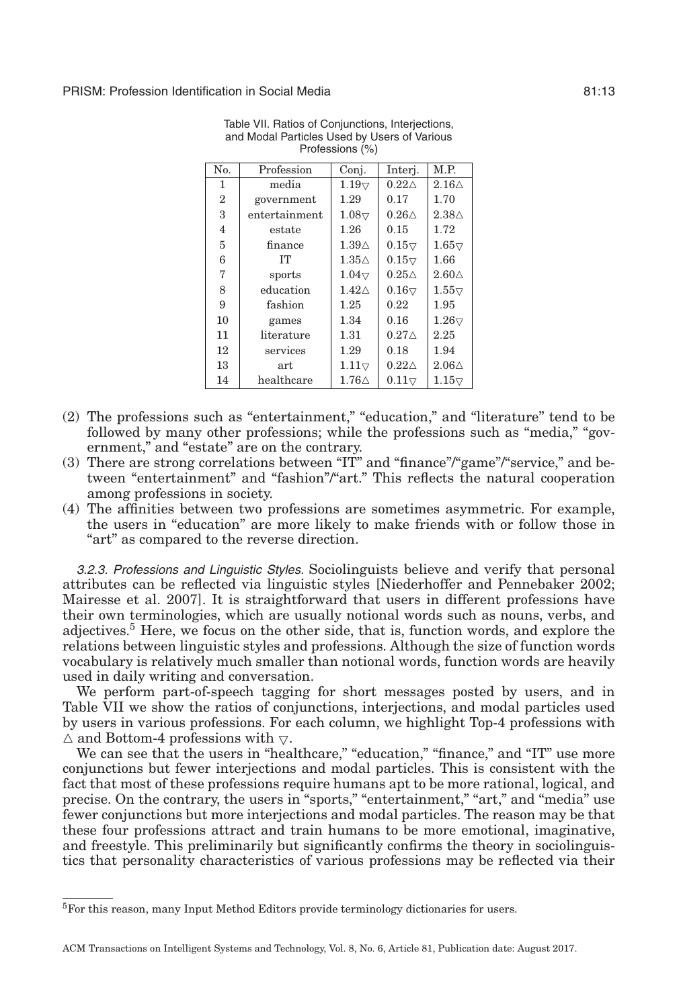<span id="page-12-1"></span>

| No.            | Profession    | Conj.               | Interi.             | M.P.                |
|----------------|---------------|---------------------|---------------------|---------------------|
| 1              | media         | $1.19\triangledown$ | $0.22\triangle$     | $2.16\triangle$     |
| $\overline{2}$ | government    | 1.29                | 0.17                | 1.70                |
| 3              | entertainment | $1.08\triangledown$ | $0.26\triangle$     | $2.38\triangle$     |
| 4              | estate        | 1.26                | 0.15                | 1.72                |
| 5              | finance       | $1.39\triangle$     | $0.15\triangledown$ | $1.65\triangledown$ |
| 6              | <b>IT</b>     | $1.35\triangle$     | $0.15\triangledown$ | 1.66                |
| 7              | sports        | $1.04\triangledown$ | $0.25\triangle$     | $2.60\triangle$     |
| 8              | education     | $1.42\triangle$     | $0.16\triangledown$ | $1.55\triangledown$ |
| 9              | fashion       | 1.25                | 0.22                | 1.95                |
| 10             | games         | 1.34                | 0.16                | $1.26\triangledown$ |
| 11             | literature    | 1.31                | $0.27\triangle$     | 2.25                |
| 12             | services      | 1.29                | 0.18                | 1.94                |
| 13             | art           | $1.11\triangledown$ | $0.22\triangle$     | $2.06\triangle$     |
| 14             | healthcare    | $1.76\triangle$     | $0.11\triangledown$ | $1.15\triangledown$ |

Table VII. Ratios of Conjunctions, Interjections, and Modal Particles Used by Users of Various Professions (%)

- (2) The professions such as "entertainment," "education," and "literature" tend to be followed by many other professions; while the professions such as "media," "government," and "estate" are on the contrary.
- (3) There are strong correlations between "IT" and "finance"/"game"/"service," and between "entertainment" and "fashion"/"art." This reflects the natural cooperation among professions in society.
- (4) The affinities between two professions are sometimes asymmetric. For example, the users in "education" are more likely to make friends with or follow those in "art" as compared to the reverse direction.

*3.2.3. Professions and Linguistic Styles.* Sociolinguists believe and verify that personal attributes can be reflected via linguistic styles [Niederhoffer and Pennebaker [2002;](#page-15-8) Mairesse et al. [2007\]](#page-15-9). It is straightforward that users in different professions have their own terminologies, which are usually notional words such as nouns, verbs, and adjectives.[5](#page-12-0) Here, we focus on the other side, that is, function words, and explore the relations between linguistic styles and professions. Although the size of function words vocabulary is relatively much smaller than notional words, function words are heavily used in daily writing and conversation.

We perform part-of-speech tagging for short messages posted by users, and in Table [VII](#page-12-1) we show the ratios of conjunctions, interjections, and modal particles used by users in various professions. For each column, we highlight Top-4 professions with  $\triangle$  and Bottom-4 professions with  $\nabla$ .

We can see that the users in "healthcare," "education," "finance," and "IT" use more conjunctions but fewer interjections and modal particles. This is consistent with the fact that most of these professions require humans apt to be more rational, logical, and precise. On the contrary, the users in "sports," "entertainment," "art," and "media" use fewer conjunctions but more interjections and modal particles. The reason may be that these four professions attract and train humans to be more emotional, imaginative, and freestyle. This preliminarily but significantly confirms the theory in sociolinguistics that personality characteristics of various professions may be reflected via their

<span id="page-12-0"></span><sup>5</sup>For this reason, many Input Method Editors provide terminology dictionaries for users.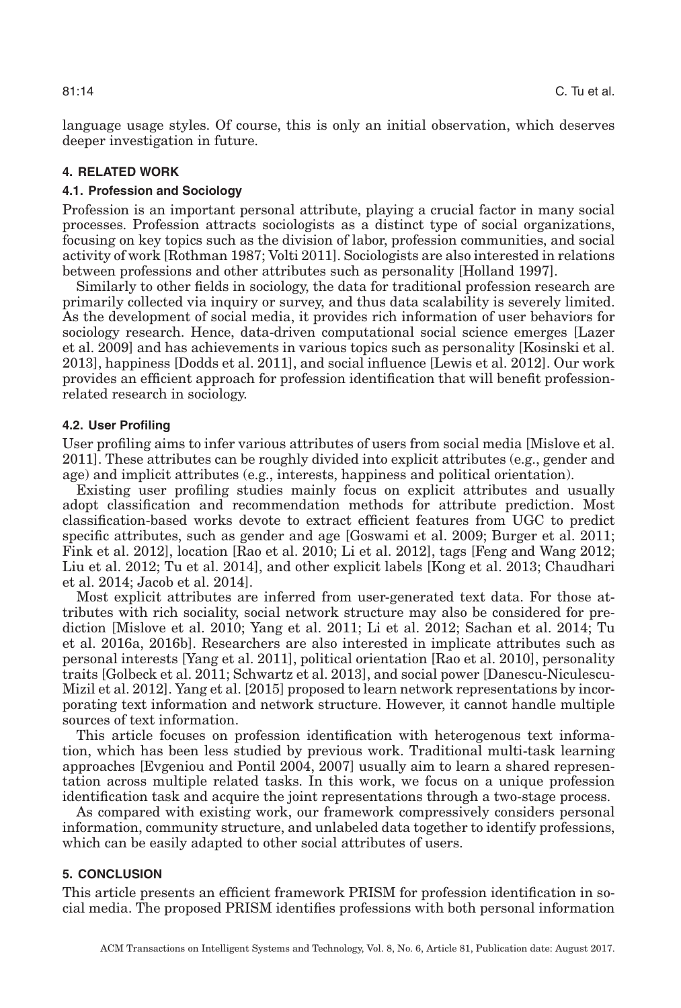language usage styles. Of course, this is only an initial observation, which deserves deeper investigation in future.

## **4. RELATED WORK**

#### **4.1. Profession and Sociology**

Profession is an important personal attribute, playing a crucial factor in many social processes. Profession attracts sociologists as a distinct type of social organizations, focusing on key topics such as the division of labor, profession communities, and social activity of work [Rothman [1987;](#page-15-10) Volti [2011\]](#page-15-2). Sociologists are also interested in relations between professions and other attributes such as personality [Holland [1997\]](#page-14-6).

Similarly to other fields in sociology, the data for traditional profession research are primarily collected via inquiry or survey, and thus data scalability is severely limited. As the development of social media, it provides rich information of user behaviors for sociology research. Hence, data-driven computational social science emerges [Lazer et al. [2009\]](#page-15-11) and has achievements in various topics such as personality [Kosinski et al. [2013\]](#page-15-12), happiness [Dodds et al. [2011\]](#page-14-1), and social influence [Lewis et al. [2012\]](#page-15-13). Our work provides an efficient approach for profession identification that will benefit professionrelated research in sociology.

## **4.2. User Profiling**

User profiling aims to infer various attributes of users from social media [Mislove et al. [2011\]](#page-15-14). These attributes can be roughly divided into explicit attributes (e.g., gender and age) and implicit attributes (e.g., interests, happiness and political orientation).

Existing user profiling studies mainly focus on explicit attributes and usually adopt classification and recommendation methods for attribute prediction. Most classification-based works devote to extract efficient features from UGC to predict specific attributes, such as gender and age [Goswami et al. [2009;](#page-14-7) Burger et al. [2011;](#page-14-0) Fink et al. [2012\]](#page-14-8), location [Rao et al. [2010;](#page-15-1) Li et al. [2012\]](#page-15-15), tags [Feng and Wang [2012;](#page-14-9) Liu et al. [2012;](#page-15-16) Tu et al. [2014\]](#page-15-17), and other explicit labels [Kong et al. [2013;](#page-15-18) Chaudhari et al. [2014;](#page-14-10) Jacob et al. [2014\]](#page-15-19).

Most explicit attributes are inferred from user-generated text data. For those attributes with rich sociality, social network structure may also be considered for prediction [Mislove et al. [2010;](#page-15-6) Yang et al. [2011;](#page-15-20) Li et al. [2012;](#page-15-15) Sachan et al. [2014;](#page-15-21) Tu et al. [2016a,](#page-15-22) [2016b\]](#page-15-23). Researchers are also interested in implicate attributes such as personal interests [Yang et al. [2011\]](#page-15-20), political orientation [Rao et al. [2010\]](#page-15-1), personality traits [Golbeck et al. [2011;](#page-14-11) Schwartz et al. [2013\]](#page-15-0), and social power [Danescu-Niculescu-Mizil et al. [2012\]](#page-14-12). Yang et al. [\[2015\]](#page-15-24) proposed to learn network representations by incorporating text information and network structure. However, it cannot handle multiple sources of text information.

This article focuses on profession identification with heterogenous text information, which has been less studied by previous work. Traditional multi-task learning approaches [Evgeniou and Pontil [2004,](#page-14-13) [2007\]](#page-14-14) usually aim to learn a shared representation across multiple related tasks. In this work, we focus on a unique profession identification task and acquire the joint representations through a two-stage process.

As compared with existing work, our framework compressively considers personal information, community structure, and unlabeled data together to identify professions, which can be easily adapted to other social attributes of users.

## **5. CONCLUSION**

This article presents an efficient framework PRISM for profession identification in social media. The proposed PRISM identifies professions with both personal information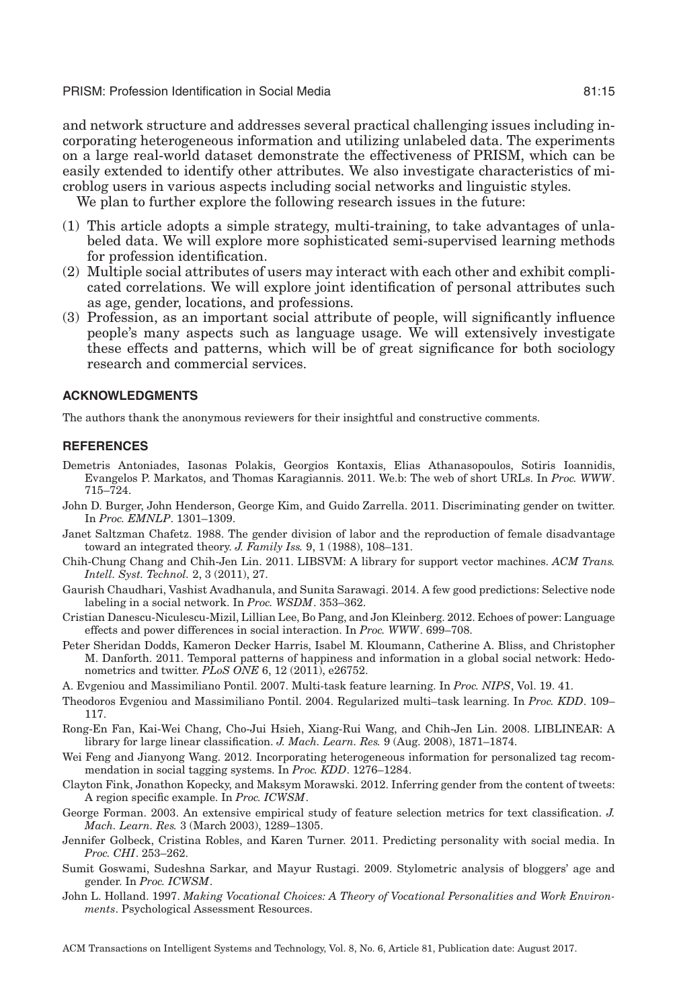PRISM: Profession Identification in Social Media 81:15

and network structure and addresses several practical challenging issues including incorporating heterogeneous information and utilizing unlabeled data. The experiments on a large real-world dataset demonstrate the effectiveness of PRISM, which can be easily extended to identify other attributes. We also investigate characteristics of microblog users in various aspects including social networks and linguistic styles.

We plan to further explore the following research issues in the future:

- (1) This article adopts a simple strategy, multi-training, to take advantages of unlabeled data. We will explore more sophisticated semi-supervised learning methods for profession identification.
- (2) Multiple social attributes of users may interact with each other and exhibit complicated correlations. We will explore joint identification of personal attributes such as age, gender, locations, and professions.
- (3) Profession, as an important social attribute of people, will significantly influence people's many aspects such as language usage. We will extensively investigate these effects and patterns, which will be of great significance for both sociology research and commercial services.

#### **ACKNOWLEDGMENTS**

The authors thank the anonymous reviewers for their insightful and constructive comments.

#### **REFERENCES**

- <span id="page-14-2"></span>Demetris Antoniades, Iasonas Polakis, Georgios Kontaxis, Elias Athanasopoulos, Sotiris Ioannidis, Evangelos P. Markatos, and Thomas Karagiannis. 2011. We.b: The web of short URLs. In *Proc. WWW*. 715–724.
- <span id="page-14-0"></span>John D. Burger, John Henderson, George Kim, and Guido Zarrella. 2011. Discriminating gender on twitter. In *Proc. EMNLP*. 1301–1309.
- <span id="page-14-5"></span>Janet Saltzman Chafetz. 1988. The gender division of labor and the reproduction of female disadvantage toward an integrated theory. *J. Family Iss.* 9, 1 (1988), 108–131.
- Chih-Chung Chang and Chih-Jen Lin. 2011. LIBSVM: A library for support vector machines. *ACM Trans. Intell. Syst. Technol.* 2, 3 (2011), 27.
- <span id="page-14-10"></span>Gaurish Chaudhari, Vashist Avadhanula, and Sunita Sarawagi. 2014. A few good predictions: Selective node labeling in a social network. In *Proc. WSDM*. 353–362.
- <span id="page-14-12"></span>Cristian Danescu-Niculescu-Mizil, Lillian Lee, Bo Pang, and Jon Kleinberg. 2012. Echoes of power: Language effects and power differences in social interaction. In *Proc. WWW*. 699–708.
- <span id="page-14-1"></span>Peter Sheridan Dodds, Kameron Decker Harris, Isabel M. Kloumann, Catherine A. Bliss, and Christopher M. Danforth. 2011. Temporal patterns of happiness and information in a global social network: Hedonometrics and twitter. *PLoS ONE* 6, 12 (2011), e26752.
- <span id="page-14-14"></span>A. Evgeniou and Massimiliano Pontil. 2007. Multi-task feature learning. In *Proc. NIPS*, Vol. 19. 41.
- <span id="page-14-13"></span>Theodoros Evgeniou and Massimiliano Pontil. 2004. Regularized multi–task learning. In *Proc. KDD*. 109– 117.
- <span id="page-14-4"></span>Rong-En Fan, Kai-Wei Chang, Cho-Jui Hsieh, Xiang-Rui Wang, and Chih-Jen Lin. 2008. LIBLINEAR: A library for large linear classification. *J. Mach. Learn. Res.* 9 (Aug. 2008), 1871–1874.
- <span id="page-14-9"></span>Wei Feng and Jianyong Wang. 2012. Incorporating heterogeneous information for personalized tag recommendation in social tagging systems. In *Proc. KDD*. 1276–1284.
- <span id="page-14-8"></span>Clayton Fink, Jonathon Kopecky, and Maksym Morawski. 2012. Inferring gender from the content of tweets: A region specific example. In *Proc. ICWSM*.
- <span id="page-14-3"></span>George Forman. 2003. An extensive empirical study of feature selection metrics for text classification. *J. Mach. Learn. Res.* 3 (March 2003), 1289–1305.
- <span id="page-14-11"></span>Jennifer Golbeck, Cristina Robles, and Karen Turner. 2011. Predicting personality with social media. In *Proc. CHI*. 253–262.
- <span id="page-14-7"></span>Sumit Goswami, Sudeshna Sarkar, and Mayur Rustagi. 2009. Stylometric analysis of bloggers' age and gender. In *Proc. ICWSM*.
- <span id="page-14-6"></span>John L. Holland. 1997. *Making Vocational Choices: A Theory of Vocational Personalities and Work Environments*. Psychological Assessment Resources.